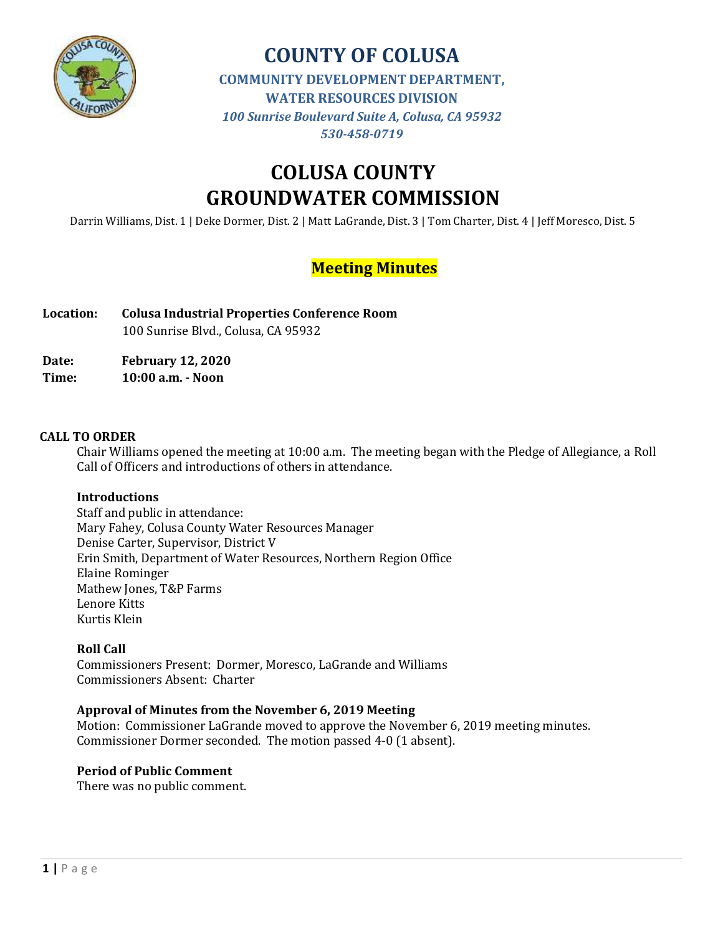

# **COUNTY OF COLUSA COMMUNITY DEVELOPMENT DEPARTMENT, WATER RESOURCES DIVISION** *100 Sunrise Boulevard Suite A, Colusa, CA 95932 530-458-0719*

# **COLUSA COUNTY GROUNDWATER COMMISSION**

Darrin Williams, Dist. 1 | Deke Dormer, Dist. 2 | Matt LaGrande, Dist. 3 | Tom Charter, Dist. 4 | Jeff Moresco, Dist. 5

# **Meeting Minutes**

**Location: Colusa Industrial Properties Conference Room** 100 Sunrise Blvd., Colusa, CA 95932

**Date: February 12, 2020**

**Time: 10:00 a.m. - Noon**

# **CALL TO ORDER**

Chair Williams opened the meeting at 10:00 a.m. The meeting began with the Pledge of Allegiance, a Roll Call of Officers and introductions of others in attendance.

# **Introductions**

Staff and public in attendance: Mary Fahey, Colusa County Water Resources Manager Denise Carter, Supervisor, District V Erin Smith, Department of Water Resources, Northern Region Office Elaine Rominger Mathew Jones, T&P Farms Lenore Kitts Kurtis Klein

# **Roll Call**

Commissioners Present: Dormer, Moresco, LaGrande and Williams Commissioners Absent: Charter

# **Approval of Minutes from the November 6, 2019 Meeting**

Motion: Commissioner LaGrande moved to approve the November 6, 2019 meeting minutes. Commissioner Dormer seconded. The motion passed 4-0 (1 absent).

### **Period of Public Comment**

There was no public comment.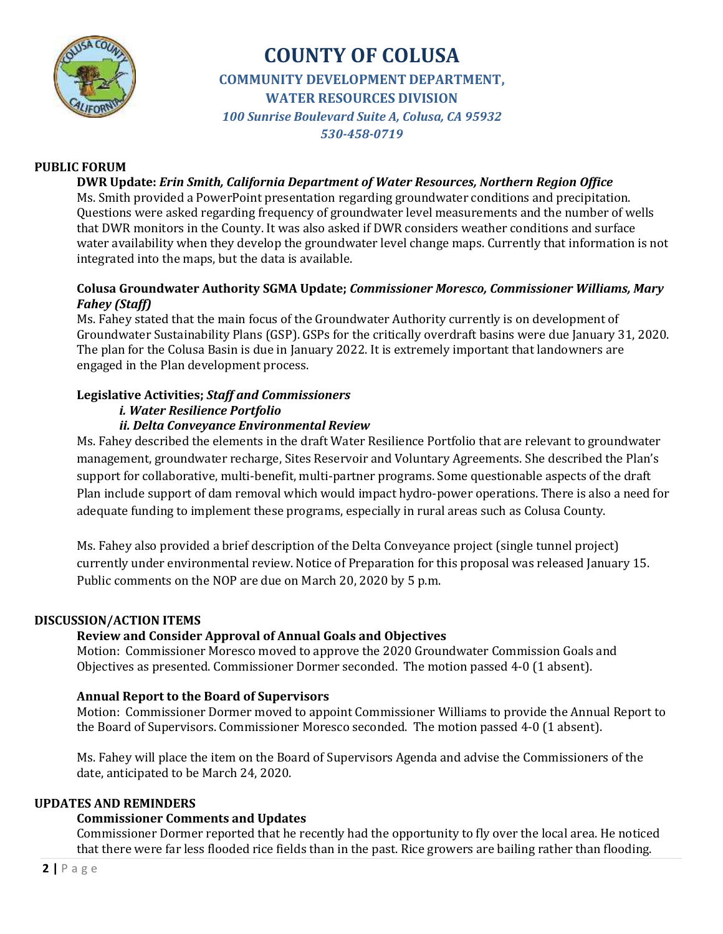

# **COUNTY OF COLUSA COMMUNITY DEVELOPMENT DEPARTMENT, WATER RESOURCES DIVISION** *100 Sunrise Boulevard Suite A, Colusa, CA 95932 530-458-0719*

## **PUBLIC FORUM**

**DWR Update:** *Erin Smith, California Department of Water Resources, Northern Region Office* Ms. Smith provided a PowerPoint presentation regarding groundwater conditions and precipitation. Questions were asked regarding frequency of groundwater level measurements and the number of wells that DWR monitors in the County. It was also asked if DWR considers weather conditions and surface water availability when they develop the groundwater level change maps. Currently that information is not integrated into the maps, but the data is available.

# **Colusa Groundwater Authority SGMA Update;** *Commissioner Moresco, Commissioner Williams, Mary Fahey (Staff)*

Ms. Fahey stated that the main focus of the Groundwater Authority currently is on development of Groundwater Sustainability Plans (GSP). GSPs for the critically overdraft basins were due January 31, 2020. The plan for the Colusa Basin is due in January 2022. It is extremely important that landowners are engaged in the Plan development process.

#### **Legislative Activities;** *Staff and Commissioners i. Water Resilience Portfolio*

# *ii. Delta Conveyance Environmental Review*

Ms. Fahey described the elements in the draft Water Resilience Portfolio that are relevant to groundwater management, groundwater recharge, Sites Reservoir and Voluntary Agreements. She described the Plan's support for collaborative, multi-benefit, multi-partner programs. Some questionable aspects of the draft Plan include support of dam removal which would impact hydro-power operations. There is also a need for adequate funding to implement these programs, especially in rural areas such as Colusa County.

Ms. Fahey also provided a brief description of the Delta Conveyance project (single tunnel project) currently under environmental review. Notice of Preparation for this proposal was released January 15. Public comments on the NOP are due on March 20, 2020 by 5 p.m.

### **DISCUSSION/ACTION ITEMS**

# **Review and Consider Approval of Annual Goals and Objectives**

Motion: Commissioner Moresco moved to approve the 2020 Groundwater Commission Goals and Objectives as presented. Commissioner Dormer seconded. The motion passed 4-0 (1 absent).

# **Annual Report to the Board of Supervisors**

Motion: Commissioner Dormer moved to appoint Commissioner Williams to provide the Annual Report to the Board of Supervisors. Commissioner Moresco seconded. The motion passed 4-0 (1 absent).

Ms. Fahey will place the item on the Board of Supervisors Agenda and advise the Commissioners of the date, anticipated to be March 24, 2020.

### **UPDATES AND REMINDERS**

### **Commissioner Comments and Updates**

Commissioner Dormer reported that he recently had the opportunity to fly over the local area. He noticed that there were far less flooded rice fields than in the past. Rice growers are bailing rather than flooding.